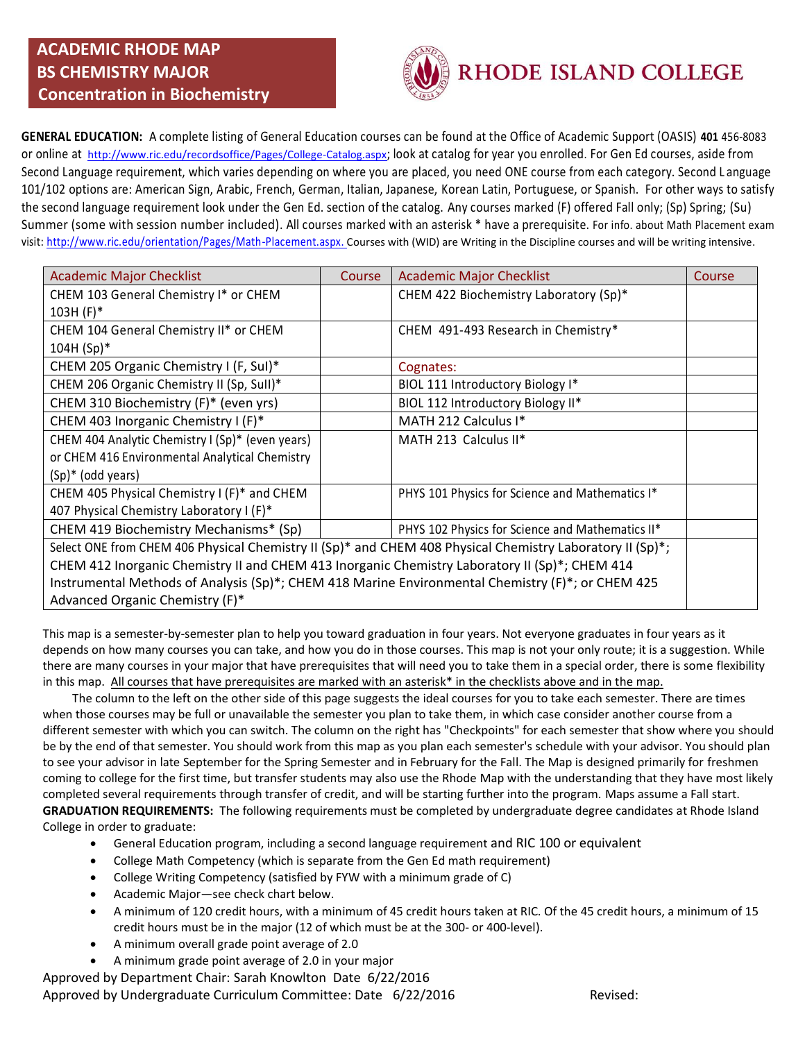

**GENERAL EDUCATION:** A complete listing of General Education courses can be found at the Office of Academic Support (OASIS) **401** 456-8083 or online at <http://www.ric.edu/recordsoffice/Pages/College-Catalog.aspx>; look at catalog for year you enrolled. For Gen Ed courses, aside from Second Language requirement, which varies depending on where you are placed, you need ONE course from each category. Second L anguage 101/102 options are: American Sign, Arabic, French, German, Italian, Japanese, Korean Latin, Portuguese, or Spanish. For other ways to satisfy the second language requirement look under the Gen Ed. section of the catalog. Any courses marked (F) offered Fall only; (Sp) Spring; (Su) Summer (some with session number included). All courses marked with an asterisk \* have a prerequisite. For info. about Math Placement exam visit: [http://www.ric.edu/orientation/Pages/Math-Placement.aspx.](http://www.ric.edu/orientation/Pages/Math-Placement.aspx) Courses with (WID) are Writing in the Discipline courses and will be writing intensive.

| <b>Academic Major Checklist</b>                                                                           | Course | <b>Academic Major Checklist</b>                  | Course |  |  |
|-----------------------------------------------------------------------------------------------------------|--------|--------------------------------------------------|--------|--|--|
| CHEM 103 General Chemistry I* or CHEM                                                                     |        | CHEM 422 Biochemistry Laboratory (Sp)*           |        |  |  |
| $103H (F)*$                                                                                               |        |                                                  |        |  |  |
| CHEM 104 General Chemistry II* or CHEM                                                                    |        | CHEM 491-493 Research in Chemistry*              |        |  |  |
| $104H (Sp)*$                                                                                              |        |                                                  |        |  |  |
| CHEM 205 Organic Chemistry I (F, Sul)*                                                                    |        | Cognates:                                        |        |  |  |
| CHEM 206 Organic Chemistry II (Sp, Sull)*                                                                 |        | BIOL 111 Introductory Biology I*                 |        |  |  |
| CHEM 310 Biochemistry (F)* (even yrs)                                                                     |        | BIOL 112 Introductory Biology II*                |        |  |  |
| CHEM 403 Inorganic Chemistry I (F)*                                                                       |        | MATH 212 Calculus I*                             |        |  |  |
| CHEM 404 Analytic Chemistry I (Sp)* (even years)                                                          |        | MATH 213 Calculus II*                            |        |  |  |
| or CHEM 416 Environmental Analytical Chemistry                                                            |        |                                                  |        |  |  |
| $(Sp)^*$ (odd years)                                                                                      |        |                                                  |        |  |  |
| CHEM 405 Physical Chemistry I (F)* and CHEM                                                               |        | PHYS 101 Physics for Science and Mathematics I*  |        |  |  |
| 407 Physical Chemistry Laboratory I (F)*                                                                  |        |                                                  |        |  |  |
| CHEM 419 Biochemistry Mechanisms* (Sp)                                                                    |        | PHYS 102 Physics for Science and Mathematics II* |        |  |  |
| Select ONE from CHEM 406 Physical Chemistry II (Sp)* and CHEM 408 Physical Chemistry Laboratory II (Sp)*; |        |                                                  |        |  |  |
| CHEM 412 Inorganic Chemistry II and CHEM 413 Inorganic Chemistry Laboratory II (Sp)*; CHEM 414            |        |                                                  |        |  |  |
| Instrumental Methods of Analysis (Sp)*; CHEM 418 Marine Environmental Chemistry (F)*; or CHEM 425         |        |                                                  |        |  |  |
| Advanced Organic Chemistry (F)*                                                                           |        |                                                  |        |  |  |

This map is a semester-by-semester plan to help you toward graduation in four years. Not everyone graduates in four years as it depends on how many courses you can take, and how you do in those courses. This map is not your only route; it is a suggestion. While there are many courses in your major that have prerequisites that will need you to take them in a special order, there is some flexibility in this map. All courses that have prerequisites are marked with an asterisk\* in the checklists above and in the map.

 The column to the left on the other side of this page suggests the ideal courses for you to take each semester. There are times when those courses may be full or unavailable the semester you plan to take them, in which case consider another course from a different semester with which you can switch. The column on the right has "Checkpoints" for each semester that show where you should be by the end of that semester. You should work from this map as you plan each semester's schedule with your advisor. You should plan to see your advisor in late September for the Spring Semester and in February for the Fall. The Map is designed primarily for freshmen coming to college for the first time, but transfer students may also use the Rhode Map with the understanding that they have most likely completed several requirements through transfer of credit, and will be starting further into the program. Maps assume a Fall start. **GRADUATION REQUIREMENTS:** The following requirements must be completed by undergraduate degree candidates at Rhode Island College in order to graduate:

- General Education program, including a second language requirement and RIC 100 or equivalent
- College Math Competency (which is separate from the Gen Ed math requirement)
- College Writing Competency (satisfied by FYW with a minimum grade of C)
- Academic Major—see check chart below.
- A minimum of 120 credit hours, with a minimum of 45 credit hours taken at RIC. Of the 45 credit hours, a minimum of 15 credit hours must be in the major (12 of which must be at the 300- or 400-level).
- A minimum overall grade point average of 2.0
- A minimum grade point average of 2.0 in your major

Approved by Department Chair: Sarah Knowlton Date 6/22/2016 Approved by Undergraduate Curriculum Committee: Date 6/22/2016 Revised: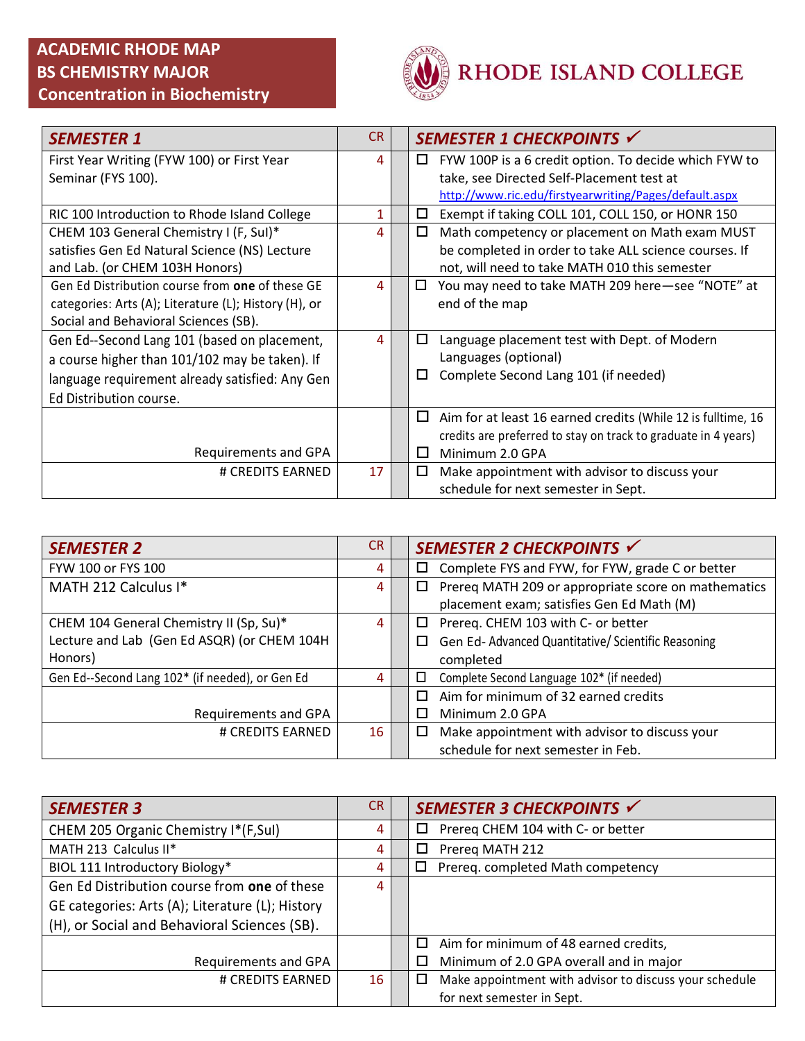

| <b>SEMESTER 1</b>                                     | <b>CR</b> | SEMESTER 1 CHECKPOINTS √                                          |
|-------------------------------------------------------|-----------|-------------------------------------------------------------------|
| First Year Writing (FYW 100) or First Year            | 4         | FYW 100P is a 6 credit option. To decide which FYW to<br>ப        |
| Seminar (FYS 100).                                    |           | take, see Directed Self-Placement test at                         |
|                                                       |           | http://www.ric.edu/firstyearwriting/Pages/default.aspx            |
| RIC 100 Introduction to Rhode Island College          | 1         | □<br>Exempt if taking COLL 101, COLL 150, or HONR 150             |
| CHEM 103 General Chemistry I (F, Sul)*                | 4         | Math competency or placement on Math exam MUST<br>□               |
| satisfies Gen Ed Natural Science (NS) Lecture         |           | be completed in order to take ALL science courses. If             |
| and Lab. (or CHEM 103H Honors)                        |           | not, will need to take MATH 010 this semester                     |
| Gen Ed Distribution course from one of these GE       | 4         | You may need to take MATH 209 here-see "NOTE" at<br>◻             |
| categories: Arts (A); Literature (L); History (H), or |           | end of the map                                                    |
| Social and Behavioral Sciences (SB).                  |           |                                                                   |
| Gen Ed--Second Lang 101 (based on placement,          | 4         | Language placement test with Dept. of Modern<br>□                 |
| a course higher than 101/102 may be taken). If        |           | Languages (optional)                                              |
| language requirement already satisfied: Any Gen       |           | Complete Second Lang 101 (if needed)<br>□                         |
| Ed Distribution course.                               |           |                                                                   |
|                                                       |           | □<br>Aim for at least 16 earned credits (While 12 is fulltime, 16 |
|                                                       |           | credits are preferred to stay on track to graduate in 4 years)    |
| Requirements and GPA                                  |           | Minimum 2.0 GPA<br>$\mathsf{L}$                                   |
| # CREDITS EARNED                                      | 17        | Make appointment with advisor to discuss your<br>□                |
|                                                       |           | schedule for next semester in Sept.                               |

| <b>SEMESTER 2</b>                               | CR. | SEMESTER 2 CHECKPOINTS √                                 |
|-------------------------------------------------|-----|----------------------------------------------------------|
| FYW 100 or FYS 100                              | 4   | Complete FYS and FYW, for FYW, grade C or better<br>□    |
| MATH 212 Calculus I*                            | 4   | Prereq MATH 209 or appropriate score on mathematics<br>□ |
|                                                 |     | placement exam; satisfies Gen Ed Math (M)                |
| CHEM 104 General Chemistry II (Sp, Su)*         | 4   | Prereq. CHEM 103 with C- or better<br>$\Box$             |
| Lecture and Lab (Gen Ed ASQR) (or CHEM 104H     |     | Gen Ed-Advanced Quantitative/Scientific Reasoning<br>□   |
| Honors)                                         |     | completed                                                |
| Gen Ed--Second Lang 102* (if needed), or Gen Ed | 4   | Complete Second Language 102* (if needed)<br>□           |
|                                                 |     | Aim for minimum of 32 earned credits<br>П                |
| Requirements and GPA                            |     | Minimum 2.0 GPA                                          |
| # CREDITS EARNED                                | 16  | Make appointment with advisor to discuss your<br>□       |
|                                                 |     | schedule for next semester in Feb.                       |

| <b>SEMESTER 3</b>                                | <b>CR</b> | SEMESTER 3 CHECKPOINTS √                                         |
|--------------------------------------------------|-----------|------------------------------------------------------------------|
| CHEM 205 Organic Chemistry I*(F, Sul)            | 4         | Prereg CHEM 104 with C- or better<br>□                           |
| MATH 213 Calculus II*                            | 4         | Prereg MATH 212<br>□                                             |
| BIOL 111 Introductory Biology*                   | 4         | Prereq. completed Math competency<br>□                           |
| Gen Ed Distribution course from one of these     | 4         |                                                                  |
| GE categories: Arts (A); Literature (L); History |           |                                                                  |
| (H), or Social and Behavioral Sciences (SB).     |           |                                                                  |
|                                                  |           | Aim for minimum of 48 earned credits,<br>$\Box$                  |
| Requirements and GPA                             |           | Minimum of 2.0 GPA overall and in major                          |
| # CREDITS EARNED                                 | 16        | Make appointment with advisor to discuss your schedule<br>$\Box$ |
|                                                  |           | for next semester in Sept.                                       |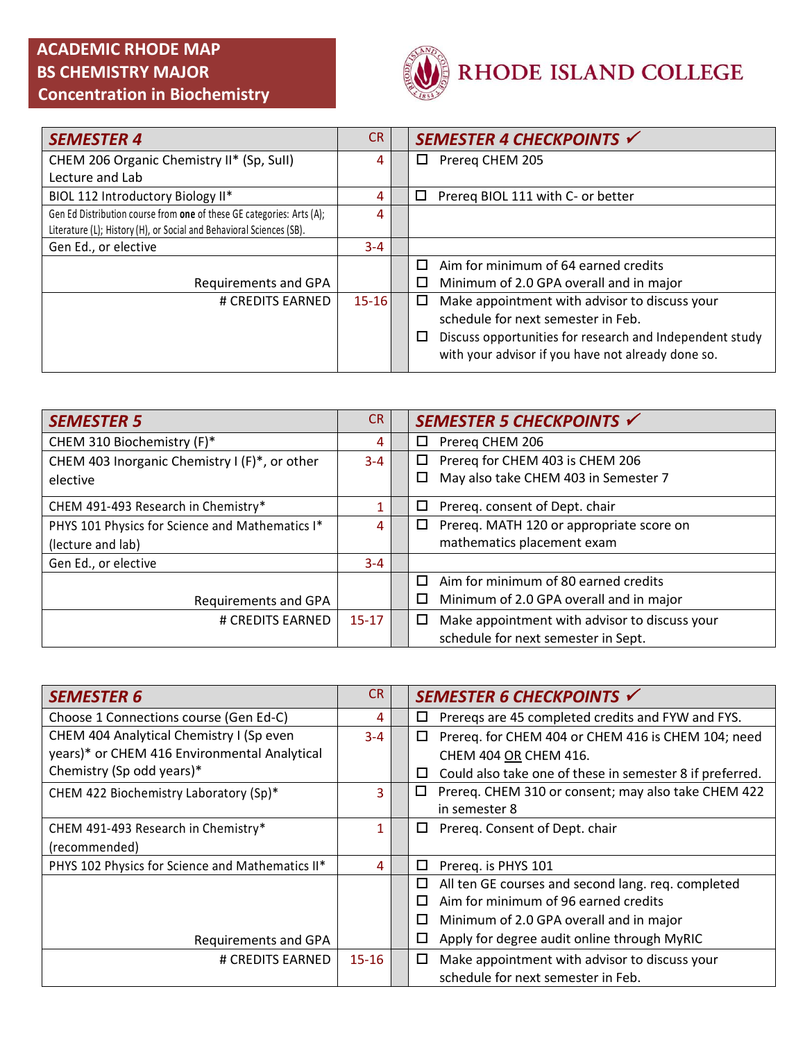

| <b>SEMESTER 4</b>                                                     | <b>CR</b> | SEMESTER 4 CHECKPOINTS √                                      |
|-----------------------------------------------------------------------|-----------|---------------------------------------------------------------|
| CHEM 206 Organic Chemistry II* (Sp, Sull)                             | 4         | Prereg CHEM 205<br>□                                          |
| Lecture and Lab                                                       |           |                                                               |
| BIOL 112 Introductory Biology II*                                     | 4         | Prereg BIOL 111 with C- or better<br>□                        |
| Gen Ed Distribution course from one of these GE categories: Arts (A); | 4         |                                                               |
| Literature (L); History (H), or Social and Behavioral Sciences (SB).  |           |                                                               |
| Gen Ed., or elective                                                  | $3 - 4$   |                                                               |
|                                                                       |           | Aim for minimum of 64 earned credits<br>□                     |
| Requirements and GPA                                                  |           | □<br>Minimum of 2.0 GPA overall and in major                  |
| # CREDITS EARNED                                                      | $15 - 16$ | Make appointment with advisor to discuss your<br>□            |
|                                                                       |           | schedule for next semester in Feb.                            |
|                                                                       |           | Discuss opportunities for research and Independent study<br>□ |
|                                                                       |           | with your advisor if you have not already done so.            |
|                                                                       |           |                                                               |

| <b>SEMESTER 5</b>                               | CR.       | SEMESTER 5 CHECKPOINTS √                           |
|-------------------------------------------------|-----------|----------------------------------------------------|
| CHEM 310 Biochemistry (F)*                      | 4         | Prereq CHEM 206<br>□                               |
| CHEM 403 Inorganic Chemistry I (F)*, or other   | $3 - 4$   | Prereq for CHEM 403 is CHEM 206<br>□               |
| elective                                        |           | May also take CHEM 403 in Semester 7<br>□          |
| CHEM 491-493 Research in Chemistry*             |           | Prereq. consent of Dept. chair<br>□                |
| PHYS 101 Physics for Science and Mathematics I* | 4         | Prereq. MATH 120 or appropriate score on<br>□      |
| (lecture and lab)                               |           | mathematics placement exam                         |
| Gen Ed., or elective                            | $3 - 4$   |                                                    |
|                                                 |           | Aim for minimum of 80 earned credits<br>$\Box$     |
| Requirements and GPA                            |           | Minimum of 2.0 GPA overall and in major<br>□       |
| # CREDITS EARNED                                | $15 - 17$ | Make appointment with advisor to discuss your<br>□ |
|                                                 |           | schedule for next semester in Sept.                |

| <b>SEMESTER 6</b>                                | CR.       | SEMESTER 6 CHECKPOINTS √                                      |
|--------------------------------------------------|-----------|---------------------------------------------------------------|
| Choose 1 Connections course (Gen Ed-C)           | 4         | Prereqs are 45 completed credits and FYW and FYS.<br>□        |
| CHEM 404 Analytical Chemistry I (Sp even         | $3 - 4$   | Prereq. for CHEM 404 or CHEM 416 is CHEM 104; need<br>□       |
| years)* or CHEM 416 Environmental Analytical     |           | CHEM 404 OR CHEM 416.                                         |
| Chemistry (Sp odd years)*                        |           | Could also take one of these in semester 8 if preferred.<br>□ |
| CHEM 422 Biochemistry Laboratory (Sp)*           | 3.        | Prereq. CHEM 310 or consent; may also take CHEM 422<br>□      |
|                                                  |           | in semester 8                                                 |
| CHEM 491-493 Research in Chemistry*              | 1         | Prereq. Consent of Dept. chair<br>ப                           |
| (recommended)                                    |           |                                                               |
| PHYS 102 Physics for Science and Mathematics II* | 4         | ◻<br>Prereq. is PHYS 101                                      |
|                                                  |           | All ten GE courses and second lang. req. completed<br>□       |
|                                                  |           | Aim for minimum of 96 earned credits<br>$\Box$                |
|                                                  |           | □<br>Minimum of 2.0 GPA overall and in major                  |
| Requirements and GPA                             |           | Apply for degree audit online through MyRIC<br>$\Box$         |
| # CREDITS EARNED                                 | $15 - 16$ | Make appointment with advisor to discuss your<br>□            |
|                                                  |           | schedule for next semester in Feb.                            |